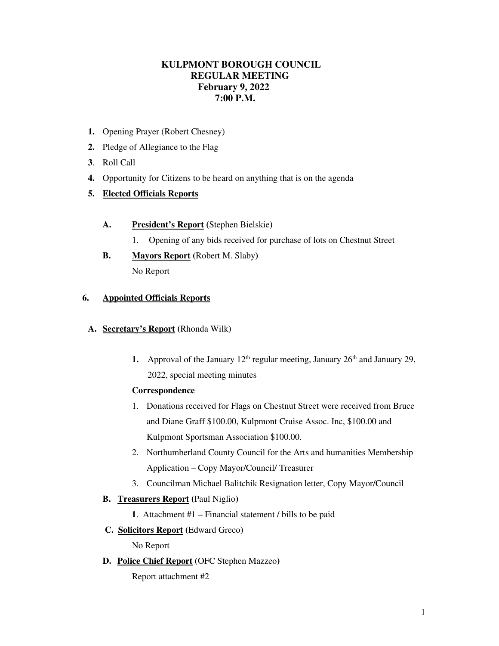## **KULPMONT BOROUGH COUNCIL REGULAR MEETING February 9, 2022 7:00 P.M.**

- **1.** Opening Prayer (Robert Chesney)
- **2.** Pledge of Allegiance to the Flag
- **3**. Roll Call
- **4.** Opportunity for Citizens to be heard on anything that is on the agenda

## **5. Elected Officials Reports**

- **A. President's Report (**Stephen Bielskie**)** 
	- 1. Opening of any bids received for purchase of lots on Chestnut Street
- **B. Mayors Report (**Robert M. Slaby**)**  No Report

#### **6. Appointed Officials Reports**

- **A. Secretary's Report (**Rhonda Wilk**)** 
	- **1.** Approval of the January  $12<sup>th</sup>$  regular meeting, January  $26<sup>th</sup>$  and January 29, 2022, special meeting minutes

#### **Correspondence**

- 1. Donations received for Flags on Chestnut Street were received from Bruce and Diane Graff \$100.00, Kulpmont Cruise Assoc. Inc, \$100.00 and Kulpmont Sportsman Association \$100.00.
- 2. Northumberland County Council for the Arts and humanities Membership Application – Copy Mayor/Council/ Treasurer
- 3. Councilman Michael Balitchik Resignation letter, Copy Mayor/Council

#### **B. Treasurers Report (**Paul Niglio**)**

- **1**. Attachment #1 Financial statement / bills to be paid
- **C. Solicitors Report (**Edward Greco**)**

No Report

**D. Police Chief Report (**OFC Stephen Mazzeo**)** 

Report attachment #2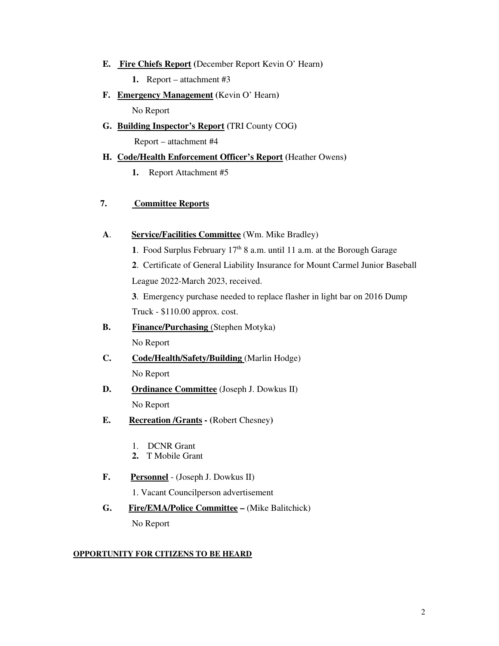- **E. Fire Chiefs Report (**December Report Kevin O' Hearn**)** 
	- **1.** Report attachment #3
- **F. Emergency Management (**Kevin O' Hearn**)**

No Report

**G. Building Inspector's Report (**TRI County COG**)** 

Report – attachment #4

#### **H. Code/Health Enforcement Officer's Report (**Heather Owens**)**

**1.** Report Attachment #5

#### **7. Committee Reports**

- **A**. **Service/Facilities Committee** (Wm. Mike Bradley)
	- **1**. Food Surplus February 17th 8 a.m. until 11 a.m. at the Borough Garage

**2**. Certificate of General Liability Insurance for Mount Carmel Junior Baseball League 2022-March 2023, received.

**3**. Emergency purchase needed to replace flasher in light bar on 2016 Dump Truck - \$110.00 approx. cost.

- **B.** Finance/Purchasing (Stephen Motyka) No Report
- **C. Code/Health/Safety/Building** (Marlin Hodge) No Report
- **D. Ordinance Committee** (Joseph J. Dowkus II) No Report
- **E. Recreation /Grants (**Robert Chesney**)**
	- 1. DCNR Grant
	- **2.** T Mobile Grant
- **F. Personnel** (Joseph J. Dowkus II)

1. Vacant Councilperson advertisement

**G. Fire/EMA/Police Committee –** (Mike Balitchick) No Report

#### **OPPORTUNITY FOR CITIZENS TO BE HEARD**